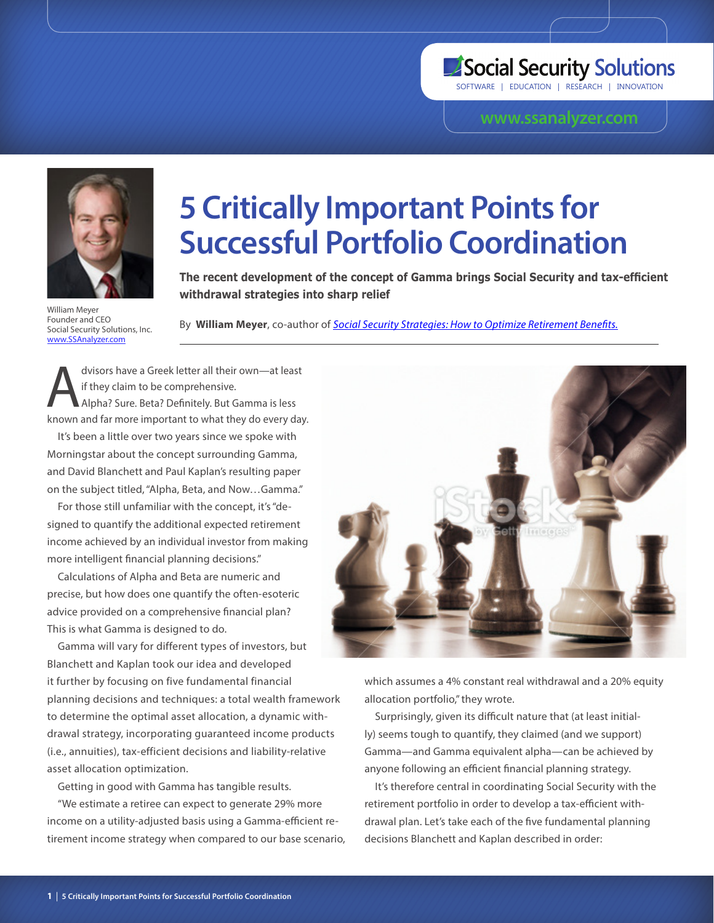## Social Security Solutions

SOFTWARE | EDUCATION | RESEARCH | INNOVATION

## **www.ssanalyzer.com**



William Meyer Founder and CEO Social Security Solutions, Inc. www.SSAnalyzer.com

# **5 Critically Important Points for Successful Portfolio Coordination**

**The recent development of the concept of Gamma brings Social Security and tax-efficient withdrawal strategies into sharp relief**

By **William Meyer**, co-author of *Social Security Strategies: How to Optimize Retirement Benefits.*

dvisors have a Greek letter all their own—at least<br>if they claim to be comprehensive.<br>Alpha? Sure. Beta? Definitely. But Gamma is less if they claim to be comprehensive. Alpha? Sure. Beta? Definitely. But Gamma is less known and far more important to what they do every day.

It's been a little over two years since we spoke with Morningstar about the concept surrounding Gamma, and David Blanchett and Paul Kaplan's resulting paper on the subject titled, "Alpha, Beta, and Now…Gamma."

For those still unfamiliar with the concept, it's "designed to quantify the additional expected retirement income achieved by an individual investor from making more intelligent financial planning decisions."

Calculations of Alpha and Beta are numeric and precise, but how does one quantify the often-esoteric advice provided on a comprehensive financial plan? This is what Gamma is designed to do.

Gamma will vary for different types of investors, but Blanchett and Kaplan took our idea and developed it further by focusing on five fundamental financial planning decisions and techniques: a total wealth framework to determine the optimal asset allocation, a dynamic withdrawal strategy, incorporating guaranteed income products (i.e., annuities), tax-efficient decisions and liability-relative asset allocation optimization.

Getting in good with Gamma has tangible results.

"We estimate a retiree can expect to generate 29% more income on a utility-adjusted basis using a Gamma-efficient retirement income strategy when compared to our base scenario,



which assumes a 4% constant real withdrawal and a 20% equity allocation portfolio," they wrote.

Surprisingly, given its difficult nature that (at least initially) seems tough to quantify, they claimed (and we support) Gamma—and Gamma equivalent alpha—can be achieved by anyone following an efficient financial planning strategy.

It's therefore central in coordinating Social Security with the retirement portfolio in order to develop a tax-efficient withdrawal plan. Let's take each of the five fundamental planning decisions Blanchett and Kaplan described in order: